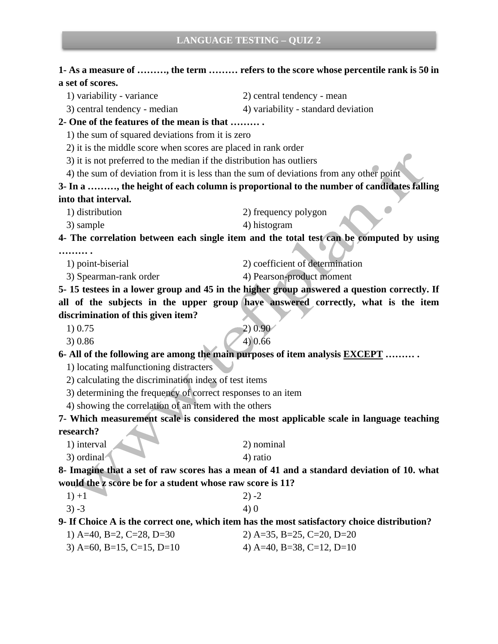#### **1- As a measure of ………, the term ……… refers to the score whose percentile rank is 50 in a set of scores.**

1) variability - variance 2) central tendency - mean

3) central tendency - median 4) variability - standard deviation

**2- One of the features of the mean is that ……… .** 

1) the sum of squared deviations from it is zero

2) it is the middle score when scores are placed in rank order

3) it is not preferred to the median if the distribution has outliers

4) the sum of deviation from it is less than the sum of deviations from any other point

**3- In a ………, the height of each column is proportional to the number of candidates falling into that interval.**

1) distribution 2) frequency polygon

 $3)$  sample  $4)$  histogram

**4- The correlation between each single item and the total test can be computed by using** 

**……… .** 

1) point-biserial 2) coefficient of determination

3) Spearman-rank order 4) Pearson-product moment

**5- 15 testees in a lower group and 45 in the higher group answered a question correctly. If all of the subjects in the upper group have answered correctly, what is the item discrimination of this given item?**

1) 0.75 2) 0.90

 $3) 0.86$  4) 0.66

**6- All of the following are among the main purposes of item analysis EXCEPT ……… .** 

1) locating malfunctioning distracters

2) calculating the discrimination index of test items

3) determining the frequency of correct responses to an item

4) showing the correlation of an item with the others

**7- Which measurement scale is considered the most applicable scale in language teaching research?** 

1) interval 2) nominal 3) ordinal 4) ratio

**8- Imagine that a set of raw scores has a mean of 41 and a standard deviation of 10. what would the z score be for a student whose raw score is 11?** 

| $1) + 1$ | $2) -2$ |
|----------|---------|
| $3) - 3$ | 4) 0    |

**9- If Choice A is the correct one, which item has the most satisfactory choice distribution?**

1) A=40, B=2, C=28, D=30 2) A=35, B=25, C=20, D=20 3) A=60, B=15, C=15, D=10  $\qquad$  4) A=40, B=38, C=12, D=10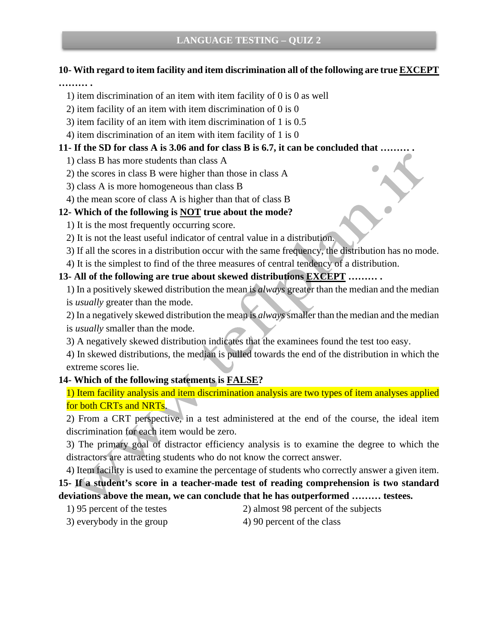# **10- With regard to item facility and item discrimination all of the following are true EXCEPT**

#### **……… .**

- 1) item discrimination of an item with item facility of 0 is 0 as well
- 2) item facility of an item with item discrimination of 0 is 0
- 3) item facility of an item with item discrimination of 1 is 0.5
- 4) item discrimination of an item with item facility of 1 is 0

## **11- If the SD for class A is 3.06 and for class B is 6.7, it can be concluded that ……… .**

- 1) class B has more students than class A
- 2) the scores in class B were higher than those in class A
- 3) class A is more homogeneous than class B
- 4) the mean score of class A is higher than that of class B

# **12- Which of the following is NOT true about the mode?**

- 1) It is the most frequently occurring score.
- 2) It is not the least useful indicator of central value in a distribution.
- 3) If all the scores in a distribution occur with the same frequency, the distribution has no mode.
- 4) It is the simplest to find of the three measures of central tendency of a distribution.

# **13- All of the following are true about skewed distributions EXCEPT ……… .**

1) In a positively skewed distribution the mean is *always* greater than the median and the median is *usually* greater than the mode.

2) In a negatively skewed distribution the mean is *always*smaller than the median and the median is *usually* smaller than the mode.

3) A negatively skewed distribution indicates that the examinees found the test too easy.

4) In skewed distributions, the median is pulled towards the end of the distribution in which the extreme scores lie.

# **14- Which of the following statements is FALSE?**

1) Item facility analysis and item discrimination analysis are two types of item analyses applied for both CRTs and NRTs.

2) From a CRT perspective, in a test administered at the end of the course, the ideal item discrimination for each item would be zero.

3) The primary goal of distractor efficiency analysis is to examine the degree to which the distractors are attracting students who do not know the correct answer.

4) Item facility is used to examine the percentage of students who correctly answer a given item. **15- If a student's score in a teacher-made test of reading comprehension is two standard deviations above the mean, we can conclude that he has outperformed ……… testees.**

- 
- 1) 95 percent of the testes 2) almost 98 percent of the subjects
- 3) everybody in the group 4) 90 percent of the class
-